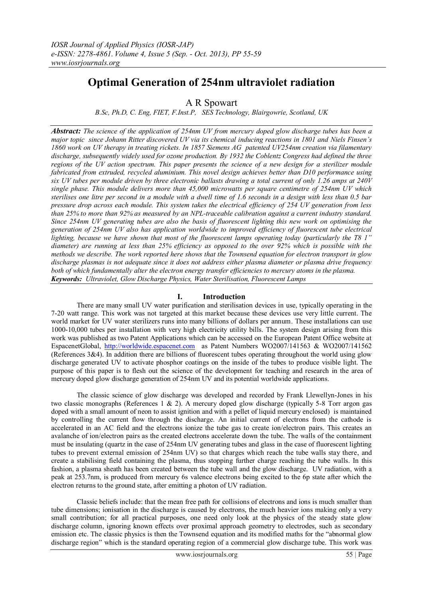# **Optimal Generation of 254nm ultraviolet radiation**

A R Spowart

*B.Sc, Ph.D, C. Eng, FIET, F.Inst.P, SES Technology, Blairgowrie, Scotland, UK*

*Abstract: The science of the application of 254nm UV from mercury doped glow discharge tubes has been a major topic since Johann Ritter discovered UV via its chemical inducing reactions in 1801 and Niels Finsen's 1860 work on UV therapy in treating rickets. In 1857 Siemens AG patented UV254nm creation via filamentary discharge, subsequently widely used for ozone production. By 1932 the Coblentz Congress had defined the three regions of the UV action spectrum. This paper presents the science of a new design for a sterilizer module fabricated from extruded, recycled aluminium. This novel design achieves better than D10 performance using six UV tubes per module driven by three electronic ballasts drawing a total current of only 1.26 amps at 240V single phase. This module delivers more than 45,000 microwatts per square centimetre of 254nm UV which sterilises one litre per second in a module with a dwell time of 1.6 seconds in a design with less than 0.5 bar pressure drop across each module. This system takes the electrical efficiency of 254 UV generation from less than 25% to more than 92% as measured by an NPL-traceable calibration against a current industry standard. Since 254nm UV generating tubes are also the basis of fluorescent lighting this new work on optimising the generation of 254nm UV also has application worldwide to improved efficiency of fluorescent tube electrical lighting, because we have shown that most of the fluorescent lamps operating today (particularly the T8 1" diameter) are running at less than 25% efficiency as opposed to the over 92% which is possible with the methods we describe. The work reported here shows that the Townsend equation for electron transport in glow discharge plasmas is not adequate since it does not address either plasma diameter or plasma drive frequency both of which fundamentally alter the electron energy transfer efficiencies to mercury atoms in the plasma. Keywords: Ultraviolet, Glow Discharge Physics, Water Sterilisation, Fluorescent Lamps*

## **I. Introduction**

There are many small UV water purification and sterilisation devices in use, typically operating in the 7-20 watt range. This work was not targeted at this market because these devices use very little current. The world market for UV water sterilizers runs into many billions of dollars per annum. These installations can use 1000-10,000 tubes per installation with very high electricity utility bills. The system design arising from this work was published as two Patent Applications which can be accessed on the European Patent Office website at EspacenetGlobal, [http://worldwide.espacenet.com](http://worldwide.espacenet.com/) as Patent Numbers WO2007/141563 & WO2007/141562 (References  $3&4$ ). In addition there are billions of fluorescent tubes operating throughout the world using glow discharge generated UV to activate phosphor coatings on the inside of the tubes to produce visible light. The purpose of this paper is to flesh out the science of the development for teaching and research in the area of mercury doped glow discharge generation of 254nm UV and its potential worldwide applications.

The classic science of glow discharge was developed and recorded by Frank Llewellyn-Jones in his two classic monographs (References 1 & 2). A mercury doped glow discharge (typically 5-8 Torr argon gas doped with a small amount of neon to assist ignition and with a pellet of liquid mercury enclosed) is maintained by controlling the current flow through the discharge. An initial current of electrons from the cathode is accelerated in an AC field and the electrons ionize the tube gas to create ion/electron pairs. This creates an avalanche of ion/electron pairs as the created electrons accelerate down the tube. The walls of the containment must be insulating (quartz in the case of 254nm UV generating tubes and glass in the case of fluorescent lighting tubes to prevent external emission of 254nm UV) so that charges which reach the tube walls stay there, and create a stabilising field containing the plasma, thus stopping further charge reaching the tube walls. In this fashion, a plasma sheath has been created between the tube wall and the glow discharge. UV radiation, with a peak at 253.7nm, is produced from mercury 6s valence electrons being excited to the 6p state after which the electron returns to the ground state, after emitting a photon of UV radiation.

Classic beliefs include: that the mean free path for collisions of electrons and ions is much smaller than tube dimensions; ionisation in the discharge is caused by electrons, the much heavier ions making only a very small contribution; for all practical purposes, one need only look at the physics of the steady state glow discharge column, ignoring known effects over proximal approach geometry to electrodes, such as secondary emission etc. The classic physics is then the Townsend equation and its modified maths for the "abnormal glow discharge region" which is the standard operating region of a commercial glow discharge tube. This work was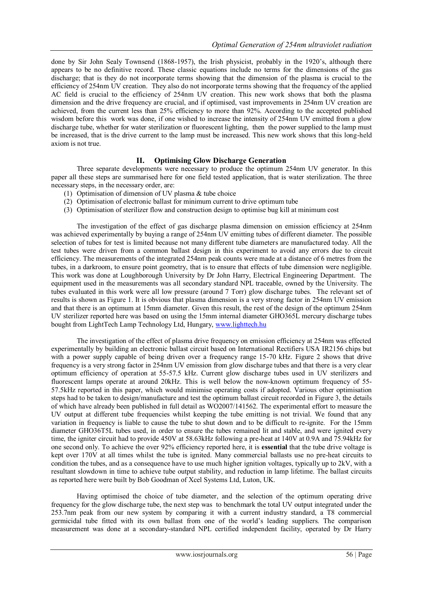done by Sir John Sealy Townsend (1868-1957), the Irish physicist, probably in the 1920's, although there appears to be no definitive record. These classic equations include no terms for the dimensions of the gas discharge; that is they do not incorporate terms showing that the dimension of the plasma is crucial to the efficiency of 254nm UV creation. They also do not incorporate terms showing that the frequency of the applied AC field is crucial to the efficiency of 254nm UV creation. This new work shows that both the plasma dimension and the drive frequency are crucial, and if optimised, vast improvements in 254nm UV creation are achieved, from the current less than 25% efficiency to more than 92%. According to the accepted published wisdom before this work was done, if one wished to increase the intensity of 254nm UV emitted from a glow discharge tube, whether for water sterilization or fluorescent lighting, then the power supplied to the lamp must be increased, that is the drive current to the lamp must be increased. This new work shows that this long-held axiom is not true.

### **II. Optimising Glow Discharge Generation**

Three separate developments were necessary to produce the optimum 254nm UV generator. In this paper all these steps are summarised here for one field tested application, that is water sterilization. The three necessary steps, in the necessary order, are:

- (1) Optimisation of dimension of UV plasma & tube choice
- (2) Optimisation of electronic ballast for minimum current to drive optimum tube
- (3) Optimisation of sterilizer flow and construction design to optimise bug kill at minimum cost

The investigation of the effect of gas discharge plasma dimension on emission efficiency at 254nm was achieved experimentally by buying a range of 254nm UV emitting tubes of different diameter. The possible selection of tubes for test is limited because not many different tube diameters are manufactured today. All the test tubes were driven from a common ballast design in this experiment to avoid any errors due to circuit efficiency. The measurements of the integrated 254nm peak counts were made at a distance of 6 metres from the tubes, in a darkroom, to ensure point geometry, that is to ensure that effects of tube dimension were negligible. This work was done at Loughborough University by Dr John Harry, Electrical Engineering Department. The equipment used in the measurements was all secondary standard NPL traceable, owned by the University. The tubes evaluated in this work were all low pressure (around 7 Torr) glow discharge tubes. The relevant set of results is shown as Figure 1. It is obvious that plasma dimension is a very strong factor in 254nm UV emission and that there is an optimum at 15mm diameter. Given this result, the rest of the design of the optimum 254nm UV sterilizer reported here was based on using the 15mm internal diameter GHO365L mercury discharge tubes bought from LightTech Lamp Technology Ltd, Hungary, [www.lighttech.hu](http://www.lighttech.hu/)

The investigation of the effect of plasma drive frequency on emission efficiency at 254nm was effected experimentally by building an electronic ballast circuit based on International Rectifiers USA IR2156 chips but with a power supply capable of being driven over a frequency range 15-70 kHz. Figure 2 shows that drive frequency is a very strong factor in 254nm UV emission from glow discharge tubes and that there is a very clear optimum efficiency of operation at 55-57.5 kHz. Current glow discharge tubes used in UV sterilizers and fluorescent lamps operate at around 20kHz. This is well below the now-known optimum frequency of 55- 57.5kHz reported in this paper, which would minimise operating costs if adopted. Various other optimisation steps had to be taken to design/manufacture and test the optimum ballast circuit recorded in Figure 3, the details of which have already been published in full detail as WO2007/141562. The experimental effort to measure the UV output at different tube frequencies whilst keeping the tube emitting is not trivial. We found that any variation in frequency is liable to cause the tube to shut down and to be difficult to re-ignite. For the 15mm diameter GHO36T5L tubes used, in order to ensure the tubes remained lit and stable, and were ignited every time, the igniter circuit had to provide 450V at 58.63kHz following a pre-heat at 140V at 0.9A and 75.94kHz for one second only. To achieve the over 92% efficiency reported here, it is **essential** that the tube drive voltage is kept over 170V at all times whilst the tube is ignited. Many commercial ballasts use no pre-heat circuits to condition the tubes, and as a consequence have to use much higher ignition voltages, typically up to 2kV, with a resultant slowdown in time to achieve tube output stability, and reduction in lamp lifetime. The ballast circuits as reported here were built by Bob Goodman of Xcel Systems Ltd, Luton, UK.

Having optimised the choice of tube diameter, and the selection of the optimum operating drive frequency for the glow discharge tube, the next step was to benchmark the total UV output integrated under the 253.7nm peak from our new system by comparing it with a current industry standard, a T8 commercial germicidal tube fitted with its own ballast from one of the world's leading suppliers. The comparison measurement was done at a secondary-standard NPL certified independent facility, operated by Dr Harry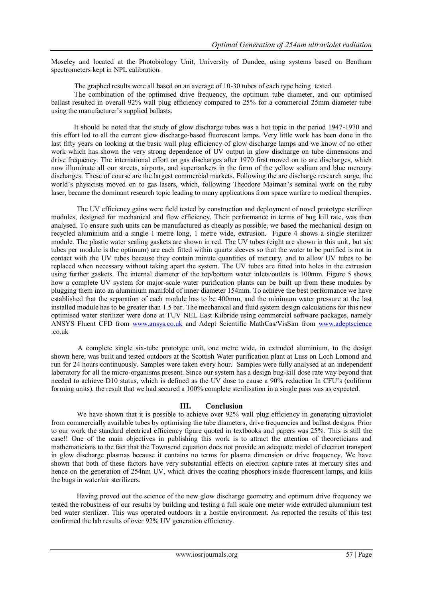Moseley and located at the Photobiology Unit, University of Dundee, using systems based on Bentham spectrometers kept in NPL calibration.

The graphed results were all based on an average of 10-30 tubes of each type being tested.

 The combination of the optimised drive frequency, the optimum tube diameter, and our optimised ballast resulted in overall 92% wall plug efficiency compared to 25% for a commercial 25mm diameter tube using the manufacturer's supplied ballasts.

 It should be noted that the study of glow discharge tubes was a hot topic in the period 1947-1970 and this effort led to all the current glow discharge-based fluorescent lamps. Very little work has been done in the last fifty years on looking at the basic wall plug efficiency of glow discharge lamps and we know of no other work which has shown the very strong dependence of UV output in glow discharge on tube dimensions and drive frequency. The international effort on gas discharges after 1970 first moved on to arc discharges, which now illuminate all our streets, airports, and supertankers in the form of the yellow sodium and blue mercury discharges. These of course are the largest commercial markets. Following the arc discharge research surge, the world's physicists moved on to gas lasers, which, following Theodore Maiman's seminal work on the ruby laser, became the dominant research topic leading to many applications from space warfare to medical therapies.

The UV efficiency gains were field tested by construction and deployment of novel prototype sterilizer modules, designed for mechanical and flow efficiency. Their performance in terms of bug kill rate, was then analysed. To ensure such units can be manufactured as cheaply as possible, we based the mechanical design on recycled aluminium and a single 1 metre long, 1 metre wide, extrusion. Figure 4 shows a single sterilizer module. The plastic water sealing gaskets are shown in red. The UV tubes (eight are shown in this unit, but six tubes per module is the optimum) are each fitted within quartz sleeves so that the water to be purified is not in contact with the UV tubes because they contain minute quantities of mercury, and to allow UV tubes to be replaced when necessary without taking apart the system. The UV tubes are fitted into holes in the extrusion using further gaskets. The internal diameter of the top/bottom water inlets/outlets is 100mm. Figure 5 shows how a complete UV system for major-scale water purification plants can be built up from these modules by plugging them into an aluminium manifold of inner diameter 154mm. To achieve the best performance we have established that the separation of each module has to be 400mm, and the minimum water pressure at the last installed module has to be greater than 1.5 bar. The mechanical and fluid system design calculations for this new optimised water sterilizer were done at TUV NEL East Kilbride using commercial software packages, namely ANSYS Fluent CFD from [www.ansys.co.uk](http://www.ansys.co.uk/) and Adept Scientific MathCas/VisSim from [www.adeptscience](http://www.adeptscience/) .co.uk

 A complete single six-tube prototype unit, one metre wide, in extruded aluminium, to the design shown here, was built and tested outdoors at the Scottish Water purification plant at Luss on Loch Lomond and run for 24 hours continuously. Samples were taken every hour. Samples were fully analysed at an independent laboratory for all the micro-organisms present. Since our system has a design bug-kill dose rate way beyond that needed to achieve D10 status, which is defined as the UV dose to cause a 90% reduction In CFU's (coliform forming units), the result that we had secured a 100% complete sterilisation in a single pass was as expected.

### **III. Conclusion**

We have shown that it is possible to achieve over 92% wall plug efficiency in generating ultraviolet from commercially available tubes by optimising the tube diameters, drive frequencies and ballast designs. Prior to our work the standard electrical efficiency figure quoted in textbooks and papers was 25%. This is still the case!! One of the main objectives in publishing this work is to attract the attention of theoreticians and mathematicians to the fact that the Townsend equation does not provide an adequate model of electron transport in glow discharge plasmas because it contains no terms for plasma dimension or drive frequency. We have shown that both of these factors have very substantial effects on electron capture rates at mercury sites and hence on the generation of 254nm UV, which drives the coating phosphors inside fluorescent lamps, and kills the bugs in water/air sterilizers.

Having proved out the science of the new glow discharge geometry and optimum drive frequency we tested the robustness of our results by building and testing a full scale one meter wide extruded aluminium test bed water sterilizer. This was operated outdoors in a hostile environment. As reported the results of this test confirmed the lab results of over 92% UV generation efficiency.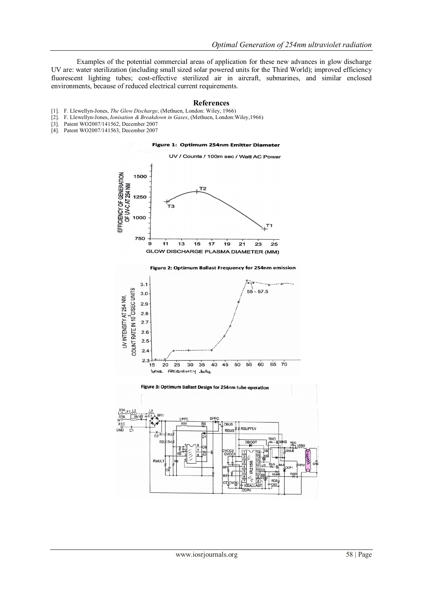Examples of the potential commercial areas of application for these new advances in glow discharge UV are: water sterilization (including small sized solar powered units for the Third World); improved efficiency fluorescent lighting tubes; cost-effective sterilized air in aircraft, submarines, and similar enclosed environments, because of reduced electrical current requirements.

#### **References**

- [1]. F. Llewellyn-Jones, *The Glow Discharge*, (Methuen, London: Wiley, 1966)
- [2]. F. Llewellyn-Jones, *Ionisation & Breakdown in Gases*, (Methuen, London:Wiley,1966)
- [3]. Patent WO2007/141562, December 2007<br>[4]. Patent WO2007/141563, December 2007
- Patent WO2007/141563, December 2007

Figure 1: Optimum 254nm Emitter Diameter